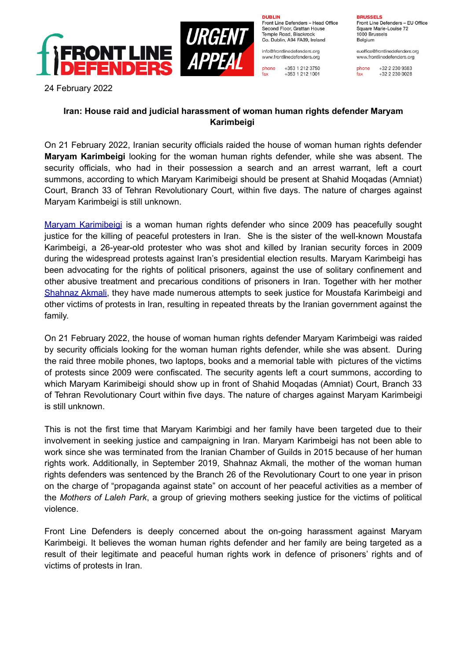



**DURLIN** Front Line Defenders - Head Office Second Floor, Grattan House Temple Boad, Blackrock Co. Dublin, A94 FA39, Ireland

info@frontlinedefenders.org www.frontlinedefenders.org

phone +353 1 212 3750 fax +353 1 212 1001 **BDHCCELC** Front Line Defenders - EU Office Square Marie-Louise 72 1000 Brussels Belgium

euoffice@frontlinedefenders.org www.frontlinedefenders.org

phone +32 2 230 9383 fax +32 2 230 0028

24 February 2022

## **Iran: House raid and judicial harassment of woman human rights defender Maryam Karimbeigi**

On 21 February 2022, Iranian security officials raided the house of woman human rights defender **Maryam Karimbeigi** looking for the woman human rights defender, while she was absent. The security officials, who had in their possession a search and an arrest warrant, left a court summons, according to which Maryam Karimibeigi should be present at Shahid Moqadas (Amniat) Court, Branch 33 of Tehran Revolutionary Court, within five days. The nature of charges against Maryam Karimbeigi is still unknown.

Maryam Karimibeigi is a woman human rights defender who since 2009 has peacefully sought justice for the killing of peaceful protesters in Iran. She is the sister of the well-known Moustafa Karimbeigi, a 26-year-old protester who was shot and killed by Iranian security forces in 2009 during the widespread protests against Iran's presidential election results. Maryam Karimbeigi has been advocating for the rights of political prisoners, against the use of solitary confinement and other abusive treatment and precarious conditions of prisoners in Iran. Together with her mother [Shahnaz Akmali](https://www.frontlinedefenders.org/en/profile/shahnaz-akmali), they have made numerous attempts to seek justice for Moustafa Karimbeigi and other victims of protests in Iran, resulting in repeated threats by the Iranian government against the family.

On 21 February 2022, the house of woman human rights defender Maryam Karimbeigi was raided by security officials looking for the woman human rights defender, while she was absent. During the raid three mobile phones, two laptops, books and a memorial table with pictures of the victims of protests since 2009 were confiscated. The security agents left a court summons, according to which Maryam Karimibeigi should show up in front of Shahid Moqadas (Amniat) Court, Branch 33 of Tehran Revolutionary Court within five days. The nature of charges against Maryam Karimbeigi is still unknown.

This is not the first time that Maryam Karimbigi and her family have been targeted due to their involvement in seeking justice and campaigning in Iran. Maryam Karimbeigi has not been able to work since she was terminated from the Iranian Chamber of Guilds in 2015 because of her human rights work. Additionally, in September 2019, Shahnaz Akmali, the mother of the woman human rights defenders was sentenced by the Branch 26 of the Revolutionary Court to one year in prison on the charge of "propaganda against state" on account of her peaceful activities as a member of the *Mothers of Laleh Park*, a group of grieving mothers seeking justice for the victims of political violence.

Front Line Defenders is deeply concerned about the on-going harassment against Maryam Karimbeigi. It believes the woman human rights defender and her family are being targeted as a result of their legitimate and peaceful human rights work in defence of prisoners' rights and of victims of protests in Iran.